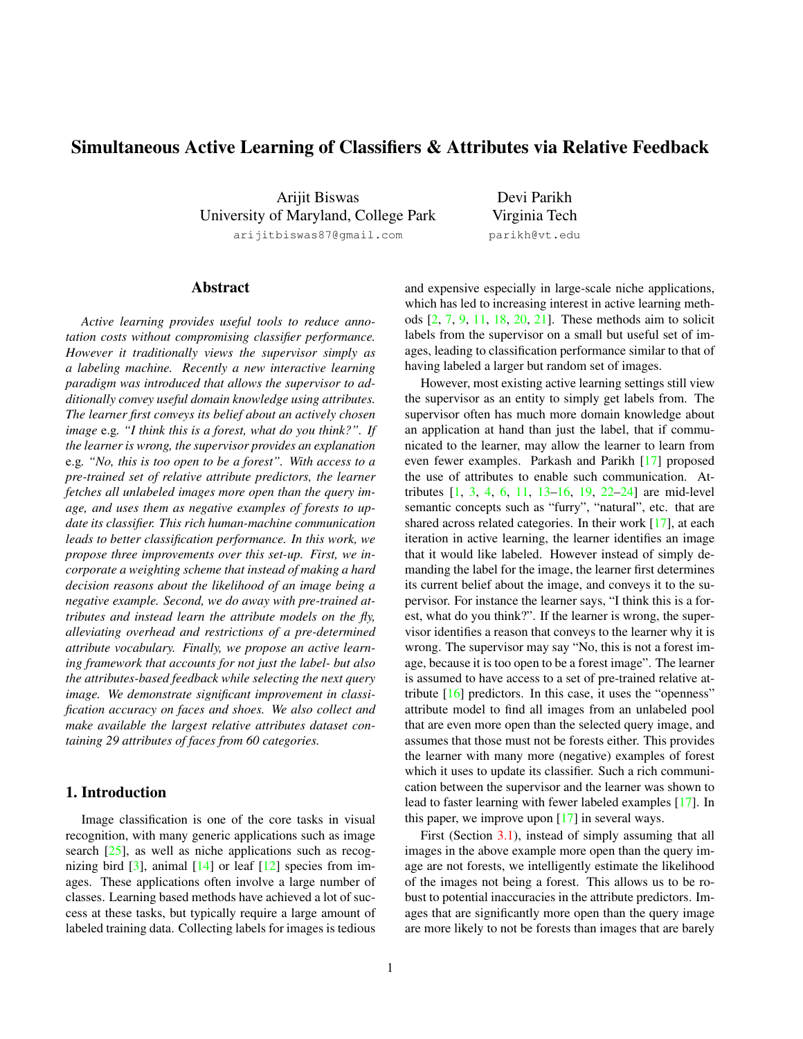# Simultaneous Active Learning of Classifiers & Attributes via Relative Feedback

Arijit Biswas University of Maryland, College Park arijitbiswas87@gmail.com

Devi Parikh Virginia Tech parikh@vt.edu

# Abstract

*Active learning provides useful tools to reduce annotation costs without compromising classifier performance. However it traditionally views the supervisor simply as a labeling machine. Recently a new interactive learning paradigm was introduced that allows the supervisor to additionally convey useful domain knowledge using attributes. The learner first conveys its belief about an actively chosen image* e.g*. "I think this is a forest, what do you think?". If the learner is wrong, the supervisor provides an explanation* e.g*. "No, this is too open to be a forest". With access to a pre-trained set of relative attribute predictors, the learner fetches all unlabeled images more open than the query image, and uses them as negative examples of forests to update its classifier. This rich human-machine communication leads to better classification performance. In this work, we propose three improvements over this set-up. First, we incorporate a weighting scheme that instead of making a hard decision reasons about the likelihood of an image being a negative example. Second, we do away with pre-trained attributes and instead learn the attribute models on the fly, alleviating overhead and restrictions of a pre-determined attribute vocabulary. Finally, we propose an active learning framework that accounts for not just the label- but also the attributes-based feedback while selecting the next query image. We demonstrate significant improvement in classification accuracy on faces and shoes. We also collect and make available the largest relative attributes dataset containing 29 attributes of faces from 60 categories.*

# 1. Introduction

Image classification is one of the core tasks in visual recognition, with many generic applications such as image search [\[25\]](#page-7-0), as well as niche applications such as recognizing bird  $[3]$ , animal  $[14]$  or leaf  $[12]$  species from images. These applications often involve a large number of classes. Learning based methods have achieved a lot of success at these tasks, but typically require a large amount of labeled training data. Collecting labels for images is tedious

and expensive especially in large-scale niche applications, which has led to increasing interest in active learning methods [\[2,](#page-7-4) [7,](#page-7-5) [9,](#page-7-6) [11,](#page-7-7) [18,](#page-7-8) [20,](#page-7-9) [21\]](#page-7-10). These methods aim to solicit labels from the supervisor on a small but useful set of images, leading to classification performance similar to that of having labeled a larger but random set of images.

However, most existing active learning settings still view the supervisor as an entity to simply get labels from. The supervisor often has much more domain knowledge about an application at hand than just the label, that if communicated to the learner, may allow the learner to learn from even fewer examples. Parkash and Parikh [\[17\]](#page-7-11) proposed the use of attributes to enable such communication. Attributes [\[1,](#page-7-12) [3,](#page-7-1) [4,](#page-7-13) [6,](#page-7-14) [11,](#page-7-7) [13–](#page-7-15)[16,](#page-7-16) [19,](#page-7-17) [22](#page-7-18)[–24\]](#page-7-19) are mid-level semantic concepts such as "furry", "natural", etc. that are shared across related categories. In their work [\[17\]](#page-7-11), at each iteration in active learning, the learner identifies an image that it would like labeled. However instead of simply demanding the label for the image, the learner first determines its current belief about the image, and conveys it to the supervisor. For instance the learner says, "I think this is a forest, what do you think?". If the learner is wrong, the supervisor identifies a reason that conveys to the learner why it is wrong. The supervisor may say "No, this is not a forest image, because it is too open to be a forest image". The learner is assumed to have access to a set of pre-trained relative attribute  $[16]$  predictors. In this case, it uses the "openness" attribute model to find all images from an unlabeled pool that are even more open than the selected query image, and assumes that those must not be forests either. This provides the learner with many more (negative) examples of forest which it uses to update its classifier. Such a rich communication between the supervisor and the learner was shown to lead to faster learning with fewer labeled examples [\[17\]](#page-7-11). In this paper, we improve upon [\[17\]](#page-7-11) in several ways.

First (Section [3.1\)](#page-2-0), instead of simply assuming that all images in the above example more open than the query image are not forests, we intelligently estimate the likelihood of the images not being a forest. This allows us to be robust to potential inaccuracies in the attribute predictors. Images that are significantly more open than the query image are more likely to not be forests than images that are barely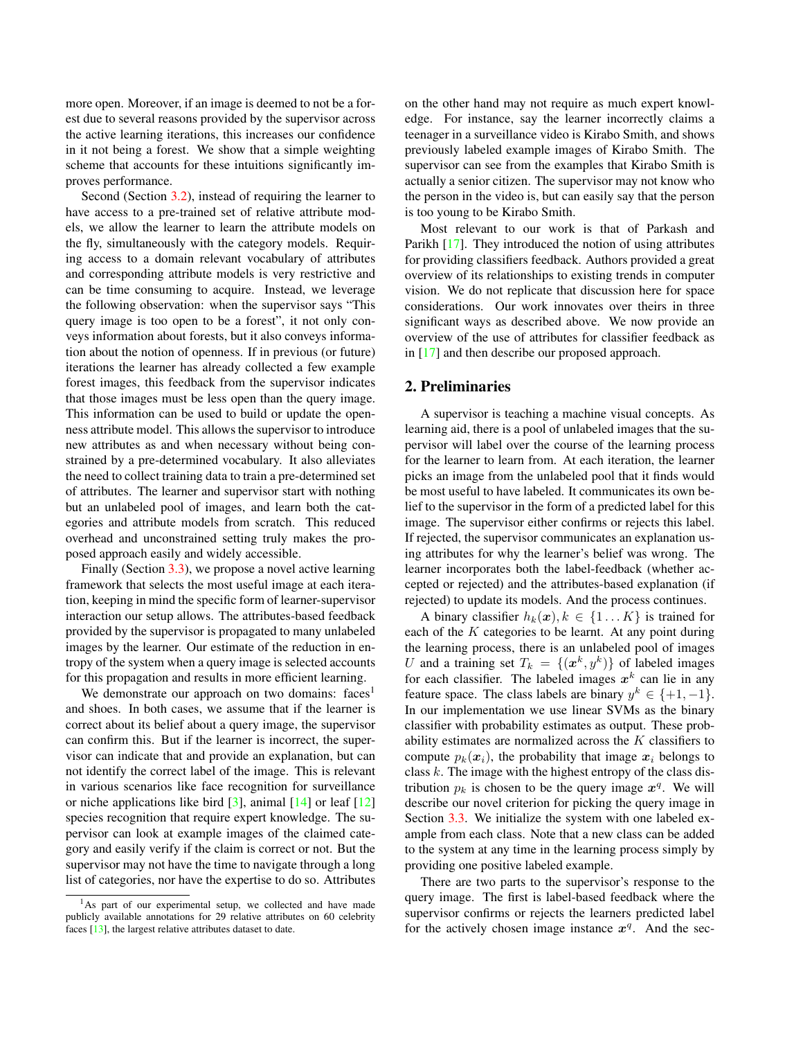more open. Moreover, if an image is deemed to not be a forest due to several reasons provided by the supervisor across the active learning iterations, this increases our confidence in it not being a forest. We show that a simple weighting scheme that accounts for these intuitions significantly improves performance.

Second (Section [3.2\)](#page-3-0), instead of requiring the learner to have access to a pre-trained set of relative attribute models, we allow the learner to learn the attribute models on the fly, simultaneously with the category models. Requiring access to a domain relevant vocabulary of attributes and corresponding attribute models is very restrictive and can be time consuming to acquire. Instead, we leverage the following observation: when the supervisor says "This query image is too open to be a forest", it not only conveys information about forests, but it also conveys information about the notion of openness. If in previous (or future) iterations the learner has already collected a few example forest images, this feedback from the supervisor indicates that those images must be less open than the query image. This information can be used to build or update the openness attribute model. This allows the supervisor to introduce new attributes as and when necessary without being constrained by a pre-determined vocabulary. It also alleviates the need to collect training data to train a pre-determined set of attributes. The learner and supervisor start with nothing but an unlabeled pool of images, and learn both the categories and attribute models from scratch. This reduced overhead and unconstrained setting truly makes the proposed approach easily and widely accessible.

Finally (Section [3.3\)](#page-3-1), we propose a novel active learning framework that selects the most useful image at each iteration, keeping in mind the specific form of learner-supervisor interaction our setup allows. The attributes-based feedback provided by the supervisor is propagated to many unlabeled images by the learner. Our estimate of the reduction in entropy of the system when a query image is selected accounts for this propagation and results in more efficient learning.

We demonstrate our approach on two domains: faces<sup>1</sup> and shoes. In both cases, we assume that if the learner is correct about its belief about a query image, the supervisor can confirm this. But if the learner is incorrect, the supervisor can indicate that and provide an explanation, but can not identify the correct label of the image. This is relevant in various scenarios like face recognition for surveillance or niche applications like bird  $\lceil 3 \rceil$ , animal  $\lceil 14 \rceil$  or leaf  $\lceil 12 \rceil$ species recognition that require expert knowledge. The supervisor can look at example images of the claimed category and easily verify if the claim is correct or not. But the supervisor may not have the time to navigate through a long list of categories, nor have the expertise to do so. Attributes on the other hand may not require as much expert knowledge. For instance, say the learner incorrectly claims a teenager in a surveillance video is Kirabo Smith, and shows previously labeled example images of Kirabo Smith. The supervisor can see from the examples that Kirabo Smith is actually a senior citizen. The supervisor may not know who the person in the video is, but can easily say that the person is too young to be Kirabo Smith.

Most relevant to our work is that of Parkash and Parikh [\[17\]](#page-7-11). They introduced the notion of using attributes for providing classifiers feedback. Authors provided a great overview of its relationships to existing trends in computer vision. We do not replicate that discussion here for space considerations. Our work innovates over theirs in three significant ways as described above. We now provide an overview of the use of attributes for classifier feedback as in [\[17\]](#page-7-11) and then describe our proposed approach.

### 2. Preliminaries

A supervisor is teaching a machine visual concepts. As learning aid, there is a pool of unlabeled images that the supervisor will label over the course of the learning process for the learner to learn from. At each iteration, the learner picks an image from the unlabeled pool that it finds would be most useful to have labeled. It communicates its own belief to the supervisor in the form of a predicted label for this image. The supervisor either confirms or rejects this label. If rejected, the supervisor communicates an explanation using attributes for why the learner's belief was wrong. The learner incorporates both the label-feedback (whether accepted or rejected) and the attributes-based explanation (if rejected) to update its models. And the process continues.

A binary classifier  $h_k(x)$ ,  $k \in \{1...K\}$  is trained for each of the  $K$  categories to be learnt. At any point during the learning process, there is an unlabeled pool of images U and a training set  $T_k = \{(\mathbf{x}^k, y^k)\}\)$  of labeled images for each classifier. The labeled images  $x^k$  can lie in any feature space. The class labels are binary  $y^k \in \{+1, -1\}.$ In our implementation we use linear SVMs as the binary classifier with probability estimates as output. These probability estimates are normalized across the  $K$  classifiers to compute  $p_k(x_i)$ , the probability that image  $x_i$  belongs to class  $k$ . The image with the highest entropy of the class distribution  $p_k$  is chosen to be the query image  $x^q$ . We will describe our novel criterion for picking the query image in Section [3.3.](#page-3-1) We initialize the system with one labeled example from each class. Note that a new class can be added to the system at any time in the learning process simply by providing one positive labeled example.

There are two parts to the supervisor's response to the query image. The first is label-based feedback where the supervisor confirms or rejects the learners predicted label for the actively chosen image instance  $x^q$ . And the sec-

<sup>&</sup>lt;sup>1</sup>As part of our experimental setup, we collected and have made publicly available annotations for 29 relative attributes on 60 celebrity faces [\[13\]](#page-7-15), the largest relative attributes dataset to date.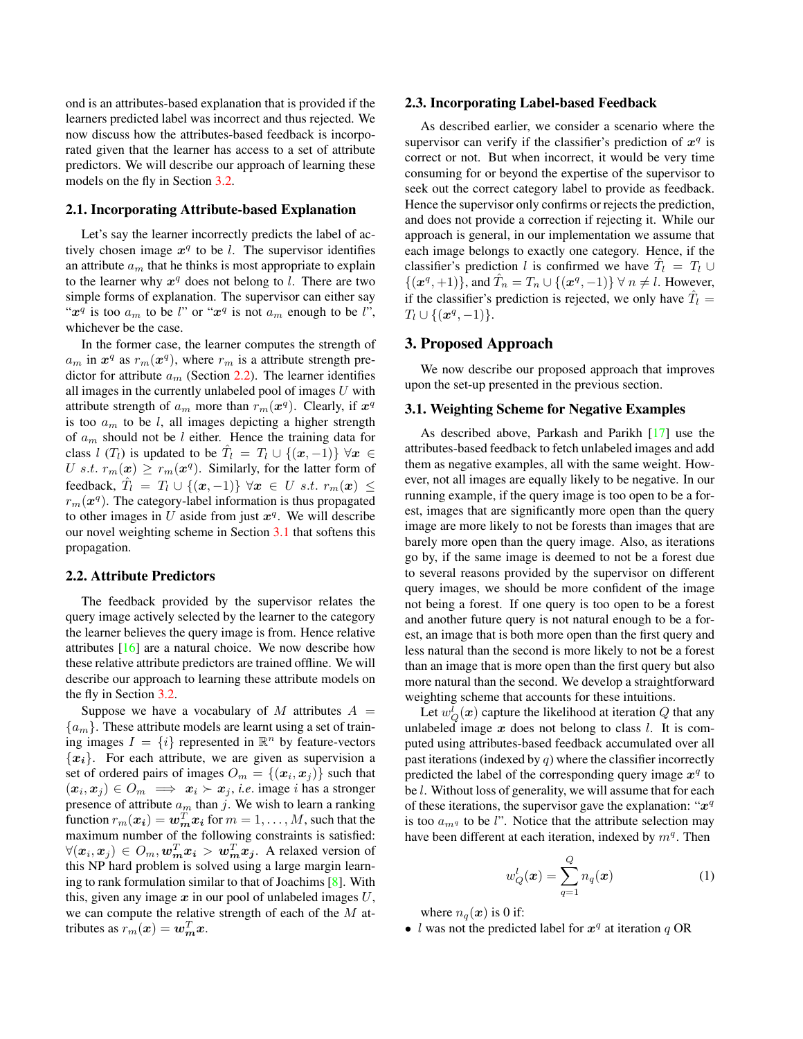ond is an attributes-based explanation that is provided if the learners predicted label was incorrect and thus rejected. We now discuss how the attributes-based feedback is incorporated given that the learner has access to a set of attribute predictors. We will describe our approach of learning these models on the fly in Section [3.2.](#page-3-0)

### 2.1. Incorporating Attribute-based Explanation

Let's say the learner incorrectly predicts the label of actively chosen image  $x^q$  to be l. The supervisor identifies an attribute  $a_m$  that he thinks is most appropriate to explain to the learner why  $x^q$  does not belong to l. There are two simple forms of explanation. The supervisor can either say " $x^q$  is too  $a_m$  to be l" or " $x^q$  is not  $a_m$  enough to be l", whichever be the case.

In the former case, the learner computes the strength of  $a_m$  in  $x^q$  as  $r_m(x^q)$ , where  $r_m$  is a attribute strength predictor for attribute  $a_m$  (Section [2.2\)](#page-2-1). The learner identifies all images in the currently unlabeled pool of images  $U$  with attribute strength of  $a_m$  more than  $r_m(\boldsymbol{x}^q)$ . Clearly, if  $\boldsymbol{x}^q$ is too  $a_m$  to be l, all images depicting a higher strength of  $a_m$  should not be l either. Hence the training data for class l  $(T_l)$  is updated to be  $\hat{T}_l = T_l \cup \{(\mathbf{x}, -1)\} \,\forall \mathbf{x} \in$ U s.t.  $r_m(x) \geq r_m(x^q)$ . Similarly, for the latter form of feedback,  $\hat{T}_l = T_l \cup \{(\boldsymbol{x},-1)\} \,\, \forall \boldsymbol{x} \,\in\, U \,\, s.t. \,\, r_m(\boldsymbol{x}) \,\leq\,$  $r_m(\boldsymbol{x}^q)$ . The category-label information is thus propagated to other images in U aside from just  $x^q$ . We will describe our novel weighting scheme in Section [3.1](#page-2-0) that softens this propagation.

## <span id="page-2-1"></span>2.2. Attribute Predictors

The feedback provided by the supervisor relates the query image actively selected by the learner to the category the learner believes the query image is from. Hence relative attributes [\[16\]](#page-7-16) are a natural choice. We now describe how these relative attribute predictors are trained offline. We will describe our approach to learning these attribute models on the fly in Section [3.2.](#page-3-0)

Suppose we have a vocabulary of M attributes  $A =$  ${a_m}$ . These attribute models are learnt using a set of training images  $I = \{i\}$  represented in  $\mathbb{R}^n$  by feature-vectors  ${x_i}$ . For each attribute, we are given as supervision a set of ordered pairs of images  $O_m = \{(\boldsymbol{x}_i, \boldsymbol{x}_j)\}\;$  such that  $(x_i, x_j) \in O_m \implies x_i \succ x_j$ , *i.e.* image *i* has a stronger presence of attribute  $a_m$  than j. We wish to learn a ranking function  $r_m(\mathbf{x_i}) = \mathbf{w}_m^T \mathbf{x_i}$  for  $m = 1, \dots, M$ , such that the maximum number of the following constraints is satisfied:  $\forall (x_i, x_j) \in O_m, \boldsymbol{w}_m^T\boldsymbol{x_i} > \boldsymbol{w}_m^T\boldsymbol{x_j}.$  A relaxed version of this NP hard problem is solved using a large margin learning to rank formulation similar to that of Joachims [\[8\]](#page-7-20). With this, given any image  $x$  in our pool of unlabeled images  $U$ , we can compute the relative strength of each of the M attributes as  $r_m(x) = \boldsymbol{w}_m^T \boldsymbol{x}$ .

#### 2.3. Incorporating Label-based Feedback

As described earlier, we consider a scenario where the supervisor can verify if the classifier's prediction of  $x^q$  is correct or not. But when incorrect, it would be very time consuming for or beyond the expertise of the supervisor to seek out the correct category label to provide as feedback. Hence the supervisor only confirms or rejects the prediction, and does not provide a correction if rejecting it. While our approach is general, in our implementation we assume that each image belongs to exactly one category. Hence, if the classifier's prediction l is confirmed we have  $\hat{T}_l = T_l \cup$  $\{(\boldsymbol{x}^q, +1)\}\)$ , and  $\hat{T}_n = T_n \cup \{(\boldsymbol{x}^q, -1)\}$   $\forall n \neq l$ . However, if the classifier's prediction is rejected, we only have  $\hat{T}_l =$  $T_l \cup \{(\bm{x}^q,-1)\}.$ 

## 3. Proposed Approach

We now describe our proposed approach that improves upon the set-up presented in the previous section.

## <span id="page-2-0"></span>3.1. Weighting Scheme for Negative Examples

As described above, Parkash and Parikh [\[17\]](#page-7-11) use the attributes-based feedback to fetch unlabeled images and add them as negative examples, all with the same weight. However, not all images are equally likely to be negative. In our running example, if the query image is too open to be a forest, images that are significantly more open than the query image are more likely to not be forests than images that are barely more open than the query image. Also, as iterations go by, if the same image is deemed to not be a forest due to several reasons provided by the supervisor on different query images, we should be more confident of the image not being a forest. If one query is too open to be a forest and another future query is not natural enough to be a forest, an image that is both more open than the first query and less natural than the second is more likely to not be a forest than an image that is more open than the first query but also more natural than the second. We develop a straightforward weighting scheme that accounts for these intuitions.

Let  $w_Q^l(\bm{x})$  capture the likelihood at iteration  $Q$  that any unlabeled image  $x$  does not belong to class  $l$ . It is computed using attributes-based feedback accumulated over all past iterations (indexed by  $q$ ) where the classifier incorrectly predicted the label of the corresponding query image  $x^q$  to be *l*. Without loss of generality, we will assume that for each of these iterations, the supervisor gave the explanation: " $x^q$ is too  $a_{mq}$  to be l". Notice that the attribute selection may have been different at each iteration, indexed by  $m<sup>q</sup>$ . Then

$$
w_Q^l(\boldsymbol{x}) = \sum_{q=1}^Q n_q(\boldsymbol{x})
$$
 (1)

where  $n_q(x)$  is 0 if:

• l was not the predicted label for  $x^q$  at iteration q OR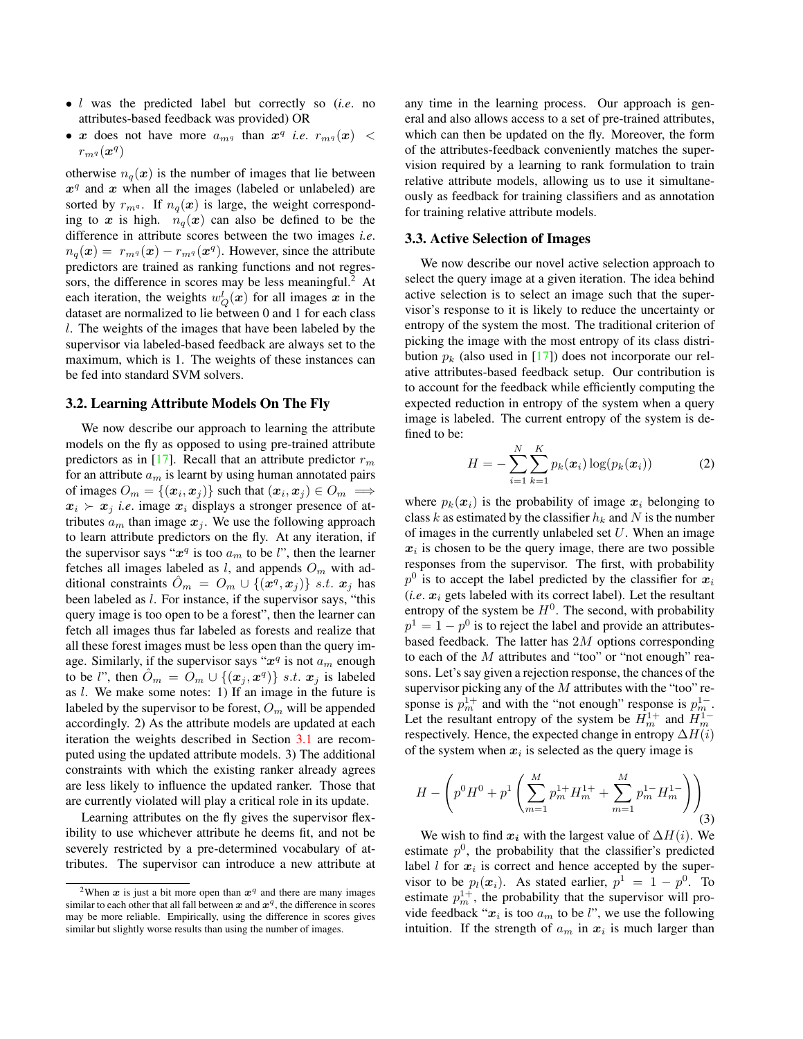- l was the predicted label but correctly so (*i.e*. no attributes-based feedback was provided) OR
- x does not have more  $a_{mq}$  than  $x^q$  *i.e.*  $r_{mq}(x)$  <  $r_{m^q}(\bm{x}^q)$

otherwise  $n_q(x)$  is the number of images that lie between  $x^q$  and  $x$  when all the images (labeled or unlabeled) are sorted by  $r_{mq}$ . If  $n_q(x)$  is large, the weight corresponding to x is high.  $n_q(x)$  can also be defined to be the difference in attribute scores between the two images *i.e*.  $n_q(\boldsymbol{x}) = r_{m^q}(\boldsymbol{x}) - r_{m^q}(\boldsymbol{x}^q)$ . However, since the attribute predictors are trained as ranking functions and not regressors, the difference in scores may be less meaningful.<sup>2</sup> At each iteration, the weights  $w_Q^l(\boldsymbol{x})$  for all images  $\boldsymbol{x}$  in the dataset are normalized to lie between 0 and 1 for each class l. The weights of the images that have been labeled by the supervisor via labeled-based feedback are always set to the maximum, which is 1. The weights of these instances can be fed into standard SVM solvers.

### <span id="page-3-0"></span>3.2. Learning Attribute Models On The Fly

We now describe our approach to learning the attribute models on the fly as opposed to using pre-trained attribute predictors as in [\[17\]](#page-7-11). Recall that an attribute predictor  $r_m$ for an attribute  $a_m$  is learnt by using human annotated pairs of images  $O_m = \{(\boldsymbol{x}_i, \boldsymbol{x}_j)\}\$  such that  $(\boldsymbol{x}_i, \boldsymbol{x}_j) \in O_m \implies$  $x_i \succ x_j$  *i.e.* image  $x_i$  displays a stronger presence of attributes  $a_m$  than image  $x_i$ . We use the following approach to learn attribute predictors on the fly. At any iteration, if the supervisor says " $x^q$  is too  $a_m$  to be l", then the learner fetches all images labeled as  $l$ , and appends  $O_m$  with additional constraints  $\hat{O}_m = O_m \cup \{(\mathbf{x}^q, \mathbf{x}_j)\}\;$  s.t.  $\mathbf{x}_j$  has been labeled as l. For instance, if the supervisor says, "this query image is too open to be a forest", then the learner can fetch all images thus far labeled as forests and realize that all these forest images must be less open than the query image. Similarly, if the supervisor says " $x^q$  is not  $a_m$  enough to be l", then  $\hat{O}_m = \hat{O}_m \cup \{(\bm{x}_j, \bm{x}^q)\}\$  s.t.  $\bm{x}_j$  is labeled as  $l$ . We make some notes: 1) If an image in the future is labeled by the supervisor to be forest,  $O_m$  will be appended accordingly. 2) As the attribute models are updated at each iteration the weights described in Section [3.1](#page-2-0) are recomputed using the updated attribute models. 3) The additional constraints with which the existing ranker already agrees are less likely to influence the updated ranker. Those that are currently violated will play a critical role in its update.

Learning attributes on the fly gives the supervisor flexibility to use whichever attribute he deems fit, and not be severely restricted by a pre-determined vocabulary of attributes. The supervisor can introduce a new attribute at any time in the learning process. Our approach is general and also allows access to a set of pre-trained attributes, which can then be updated on the fly. Moreover, the form of the attributes-feedback conveniently matches the supervision required by a learning to rank formulation to train relative attribute models, allowing us to use it simultaneously as feedback for training classifiers and as annotation for training relative attribute models.

### <span id="page-3-1"></span>3.3. Active Selection of Images

We now describe our novel active selection approach to select the query image at a given iteration. The idea behind active selection is to select an image such that the supervisor's response to it is likely to reduce the uncertainty or entropy of the system the most. The traditional criterion of picking the image with the most entropy of its class distribution  $p_k$  (also used in [\[17\]](#page-7-11)) does not incorporate our relative attributes-based feedback setup. Our contribution is to account for the feedback while efficiently computing the expected reduction in entropy of the system when a query image is labeled. The current entropy of the system is defined to be:

$$
H = -\sum_{i=1}^{N} \sum_{k=1}^{K} p_k(x_i) \log(p_k(x_i))
$$
 (2)

where  $p_k(x_i)$  is the probability of image  $x_i$  belonging to class k as estimated by the classifier  $h_k$  and N is the number of images in the currently unlabeled set  $U$ . When an image  $x_i$  is chosen to be the query image, there are two possible responses from the supervisor. The first, with probability  $p^0$  is to accept the label predicted by the classifier for  $x_i$  $(i.e. x<sub>i</sub> gets labeled with its correct label).$  Let the resultant entropy of the system be  $H^0$ . The second, with probability  $p<sup>1</sup> = 1 - p<sup>0</sup>$  is to reject the label and provide an attributesbased feedback. The latter has 2M options corresponding to each of the  $M$  attributes and "too" or "not enough" reasons. Let's say given a rejection response, the chances of the supervisor picking any of the  $M$  attributes with the "too" response is  $p_m^{1+}$  and with the "not enough" response is  $p_m^{1-}$ . Let the resultant entropy of the system be  $H_m^{1+}$  and  $H_m^{1-}$ respectively. Hence, the expected change in entropy  $\Delta H(i)$ of the system when  $x_i$  is selected as the query image is

<span id="page-3-2"></span>
$$
H - \left( p^{0}H^{0} + p^{1} \left( \sum_{m=1}^{M} p_{m}^{1+} H_{m}^{1+} + \sum_{m=1}^{M} p_{m}^{1-} H_{m}^{1-} \right) \right)_{(3)}
$$

We wish to find  $x_i$  with the largest value of  $\Delta H(i)$ . We estimate  $p^0$ , the probability that the classifier's predicted label  $l$  for  $x_i$  is correct and hence accepted by the supervisor to be  $p_l(x_i)$ . As stated earlier,  $p^1 = 1 - p^0$ . To estimate  $p_m^{1+}$ , the probability that the supervisor will provide feedback " $x_i$  is too  $a_m$  to be l", we use the following intuition. If the strength of  $a_m$  in  $x_i$  is much larger than

<sup>&</sup>lt;sup>2</sup>When  $x$  is just a bit more open than  $x^q$  and there are many images similar to each other that all fall between  $x$  and  $x^q$ , the difference in scores may be more reliable. Empirically, using the difference in scores gives similar but slightly worse results than using the number of images.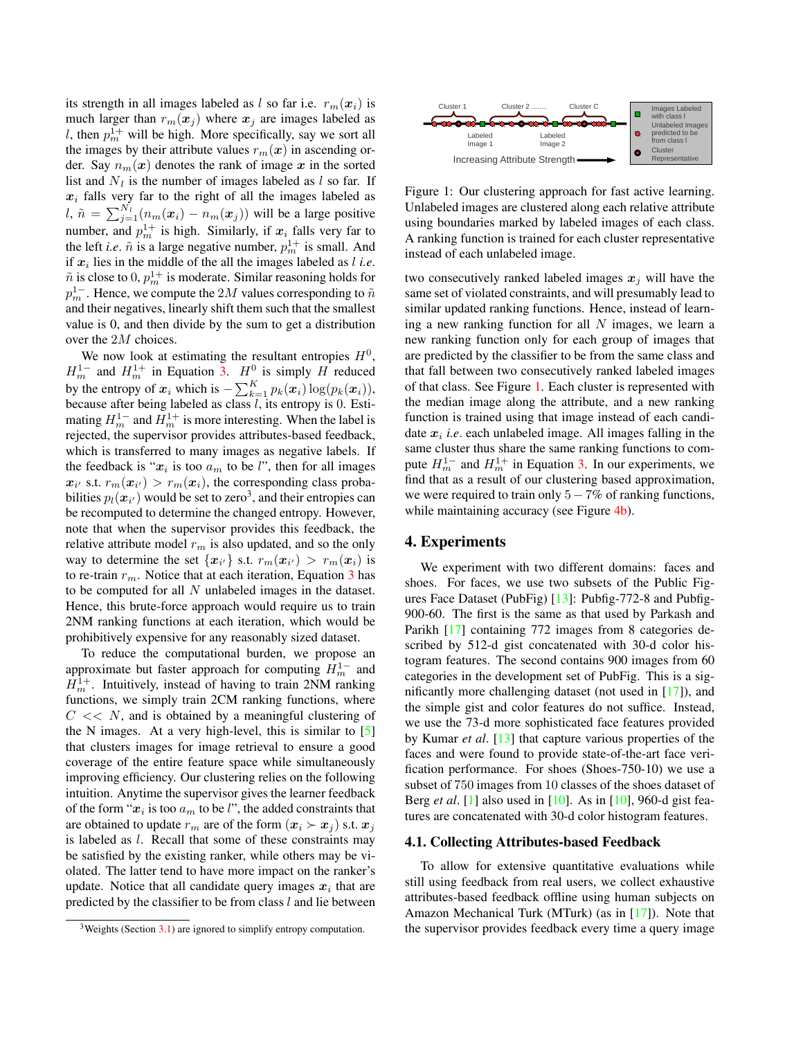its strength in all images labeled as l so far i.e.  $r_m(x_i)$  is much larger than  $r_m(x_j)$  where  $x_j$  are images labeled as l, then  $p_m^{1+}$  will be high. More specifically, say we sort all the images by their attribute values  $r_m(x)$  in ascending order. Say  $n_m(x)$  denotes the rank of image x in the sorted list and  $N_l$  is the number of images labeled as l so far. If  $x_i$  falls very far to the right of all the images labeled as l,  $\tilde{n} = \sum_{j=1}^{N_l} (n_m(\boldsymbol{x}_i) - n_m(\boldsymbol{x}_j))$  will be a large positive number, and  $p_m^{1+}$  is high. Similarly, if  $x_i$  falls very far to the left *i.e.*  $\tilde{n}$  is a large negative number,  $p_m^{1+}$  is small. And if  $x_i$  lies in the middle of the all the images labeled as  $l$  *i.e.*  $\tilde{n}$  is close to  $0, p_m^{1+}$  is moderate. Similar reasoning holds for  $p_m^{1-}$  . Hence, we compute the  $2M$  values corresponding to  $\tilde{n}$ and their negatives, linearly shift them such that the smallest value is 0, and then divide by the sum to get a distribution over the 2M choices.

We now look at estimating the resultant entropies  $H<sup>0</sup>$ ,  $H_m^{1-}$  and  $H_m^{1+}$  in Equation [3.](#page-3-2)  $H_0^0$  is simply H reduced by the entropy of  $x_i$  which is  $-\sum_{k=1}^{K} p_k(x_i) \log(p_k(x_i)),$ because after being labeled as class  $l$ , its entropy is 0. Estimating  $H_m^{1-}$  and  $H_m^{1+}$  is more interesting. When the label is rejected, the supervisor provides attributes-based feedback, which is transferred to many images as negative labels. If the feedback is " $x_i$  is too  $a_m$  to be l", then for all images  $x_{i'}$  s.t.  $r_m(x_{i'}) > r_m(x_i)$ , the corresponding class probabilities  $p_l(\boldsymbol{x}_{i'})$  would be set to zero $^3$ , and their entropies can be recomputed to determine the changed entropy. However, note that when the supervisor provides this feedback, the relative attribute model  $r_m$  is also updated, and so the only way to determine the set  $\{x_{i'}\}$  s.t.  $r_m(\boldsymbol{x}_{i'}) > r_m(\boldsymbol{x}_{i})$  is to re-train  $r_m$ . Notice that at each iteration, Equation [3](#page-3-2) has to be computed for all  $N$  unlabeled images in the dataset. Hence, this brute-force approach would require us to train 2NM ranking functions at each iteration, which would be prohibitively expensive for any reasonably sized dataset.

To reduce the computational burden, we propose an approximate but faster approach for computing  $H_m^{1-}$  and  $H_m^{1+}$ . Intuitively, instead of having to train 2NM ranking functions, we simply train 2CM ranking functions, where  $C \ll N$ , and is obtained by a meaningful clustering of the N images. At a very high-level, this is similar to  $\lceil 5 \rceil$ that clusters images for image retrieval to ensure a good coverage of the entire feature space while simultaneously improving efficiency. Our clustering relies on the following intuition. Anytime the supervisor gives the learner feedback of the form " $x_i$  is too  $a_m$  to be l", the added constraints that are obtained to update  $r_m$  are of the form  $(\mathbf{x}_i \succ \mathbf{x}_j)$  s.t.  $\mathbf{x}_j$ is labeled as l. Recall that some of these constraints may be satisfied by the existing ranker, while others may be violated. The latter tend to have more impact on the ranker's update. Notice that all candidate query images  $x_i$  that are predicted by the classifier to be from class  $l$  and lie between

<span id="page-4-0"></span>

Figure 1: Our clustering approach for fast active learning. Unlabeled images are clustered along each relative attribute using boundaries marked by labeled images of each class. A ranking function is trained for each cluster representative instead of each unlabeled image.

two consecutively ranked labeled images  $x_i$  will have the same set of violated constraints, and will presumably lead to similar updated ranking functions. Hence, instead of learning a new ranking function for all  $N$  images, we learn a new ranking function only for each group of images that are predicted by the classifier to be from the same class and that fall between two consecutively ranked labeled images of that class. See Figure [1.](#page-4-0) Each cluster is represented with the median image along the attribute, and a new ranking function is trained using that image instead of each candidate  $x_i$  *i.e.* each unlabeled image. All images falling in the same cluster thus share the same ranking functions to compute  $H_m^{1-}$  and  $H_m^{1+}$  in Equation [3.](#page-3-2) In our experiments, we find that as a result of our clustering based approximation, we were required to train only  $5 - 7\%$  of ranking functions, while maintaining accuracy (see Figure [4b\)](#page-7-22).

### 4. Experiments

We experiment with two different domains: faces and shoes. For faces, we use two subsets of the Public Figures Face Dataset (PubFig) [\[13\]](#page-7-15): Pubfig-772-8 and Pubfig-900-60. The first is the same as that used by Parkash and Parikh [\[17\]](#page-7-11) containing 772 images from 8 categories described by 512-d gist concatenated with 30-d color histogram features. The second contains 900 images from 60 categories in the development set of PubFig. This is a significantly more challenging dataset (not used in [\[17\]](#page-7-11)), and the simple gist and color features do not suffice. Instead, we use the 73-d more sophisticated face features provided by Kumar *et al*. [\[13\]](#page-7-15) that capture various properties of the faces and were found to provide state-of-the-art face verification performance. For shoes (Shoes-750-10) we use a subset of 750 images from 10 classes of the shoes dataset of Berg *et al*. [\[1\]](#page-7-12) also used in [\[10\]](#page-7-23). As in [\[10\]](#page-7-23), 960-d gist features are concatenated with 30-d color histogram features.

## <span id="page-4-1"></span>4.1. Collecting Attributes-based Feedback

To allow for extensive quantitative evaluations while still using feedback from real users, we collect exhaustive attributes-based feedback offline using human subjects on Amazon Mechanical Turk (MTurk) (as in [\[17\]](#page-7-11)). Note that the supervisor provides feedback every time a query image

 $3$ Weights (Section [3.1\)](#page-2-0) are ignored to simplify entropy computation.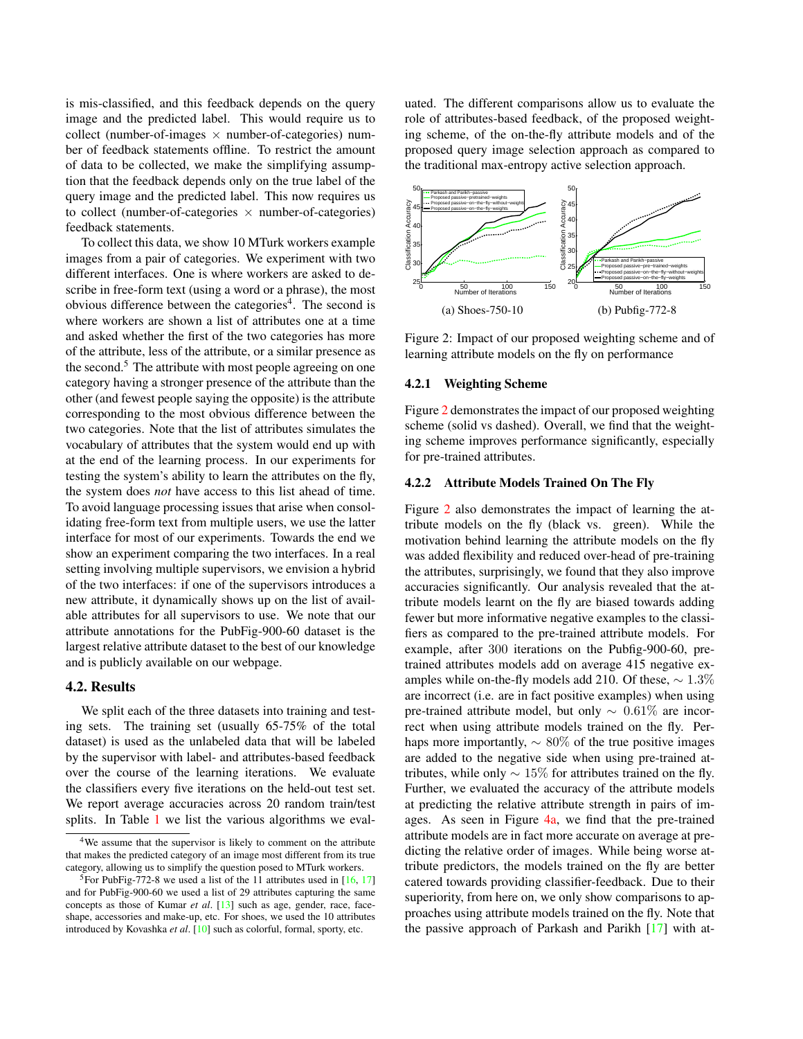is mis-classified, and this feedback depends on the query image and the predicted label. This would require us to collect (number-of-images  $\times$  number-of-categories) number of feedback statements offline. To restrict the amount of data to be collected, we make the simplifying assumption that the feedback depends only on the true label of the query image and the predicted label. This now requires us to collect (number-of-categories  $\times$  number-of-categories) feedback statements.

To collect this data, we show 10 MTurk workers example images from a pair of categories. We experiment with two different interfaces. One is where workers are asked to describe in free-form text (using a word or a phrase), the most obvious difference between the categories<sup>4</sup>. The second is where workers are shown a list of attributes one at a time and asked whether the first of the two categories has more of the attribute, less of the attribute, or a similar presence as the second.<sup>5</sup> The attribute with most people agreeing on one category having a stronger presence of the attribute than the other (and fewest people saying the opposite) is the attribute corresponding to the most obvious difference between the two categories. Note that the list of attributes simulates the vocabulary of attributes that the system would end up with at the end of the learning process. In our experiments for testing the system's ability to learn the attributes on the fly, the system does *not* have access to this list ahead of time. To avoid language processing issues that arise when consolidating free-form text from multiple users, we use the latter interface for most of our experiments. Towards the end we show an experiment comparing the two interfaces. In a real setting involving multiple supervisors, we envision a hybrid of the two interfaces: if one of the supervisors introduces a new attribute, it dynamically shows up on the list of available attributes for all supervisors to use. We note that our attribute annotations for the PubFig-900-60 dataset is the largest relative attribute dataset to the best of our knowledge and is publicly available on our webpage.

## 4.2. Results

We split each of the three datasets into training and testing sets. The training set (usually 65-75% of the total dataset) is used as the unlabeled data that will be labeled by the supervisor with label- and attributes-based feedback over the course of the learning iterations. We evaluate the classifiers every five iterations on the held-out test set. We report average accuracies across 20 random train/test splits. In Table [1](#page-6-0) we list the various algorithms we evaluated. The different comparisons allow us to evaluate the role of attributes-based feedback, of the proposed weighting scheme, of the on-the-fly attribute models and of the proposed query image selection approach as compared to the traditional max-entropy active selection approach.

<span id="page-5-0"></span>

Figure 2: Impact of our proposed weighting scheme and of learning attribute models on the fly on performance

#### 4.2.1 Weighting Scheme

Figure [2](#page-5-0) demonstrates the impact of our proposed weighting scheme (solid vs dashed). Overall, we find that the weighting scheme improves performance significantly, especially for pre-trained attributes.

## 4.2.2 Attribute Models Trained On The Fly

Figure [2](#page-5-0) also demonstrates the impact of learning the attribute models on the fly (black vs. green). While the motivation behind learning the attribute models on the fly was added flexibility and reduced over-head of pre-training the attributes, surprisingly, we found that they also improve accuracies significantly. Our analysis revealed that the attribute models learnt on the fly are biased towards adding fewer but more informative negative examples to the classifiers as compared to the pre-trained attribute models. For example, after 300 iterations on the Pubfig-900-60, pretrained attributes models add on average 415 negative examples while on-the-fly models add 210. Of these,  $\sim 1.3\%$ are incorrect (i.e. are in fact positive examples) when using pre-trained attribute model, but only  $\sim 0.61\%$  are incorrect when using attribute models trained on the fly. Perhaps more importantly,  $\sim 80\%$  of the true positive images are added to the negative side when using pre-trained attributes, while only  $\sim 15\%$  for attributes trained on the fly. Further, we evaluated the accuracy of the attribute models at predicting the relative attribute strength in pairs of images. As seen in Figure [4a,](#page-7-22) we find that the pre-trained attribute models are in fact more accurate on average at predicting the relative order of images. While being worse attribute predictors, the models trained on the fly are better catered towards providing classifier-feedback. Due to their superiority, from here on, we only show comparisons to approaches using attribute models trained on the fly. Note that the passive approach of Parkash and Parikh [\[17\]](#page-7-11) with at-

<sup>4</sup>We assume that the supervisor is likely to comment on the attribute that makes the predicted category of an image most different from its true category, allowing us to simplify the question posed to MTurk workers.

<sup>&</sup>lt;sup>5</sup>For PubFig-772-8 we used a list of the 11 attributes used in  $[16, 17]$  $[16, 17]$  $[16, 17]$ and for PubFig-900-60 we used a list of 29 attributes capturing the same concepts as those of Kumar *et al*. [\[13\]](#page-7-15) such as age, gender, race, faceshape, accessories and make-up, etc. For shoes, we used the 10 attributes introduced by Kovashka *et al*. [\[10\]](#page-7-23) such as colorful, formal, sporty, etc.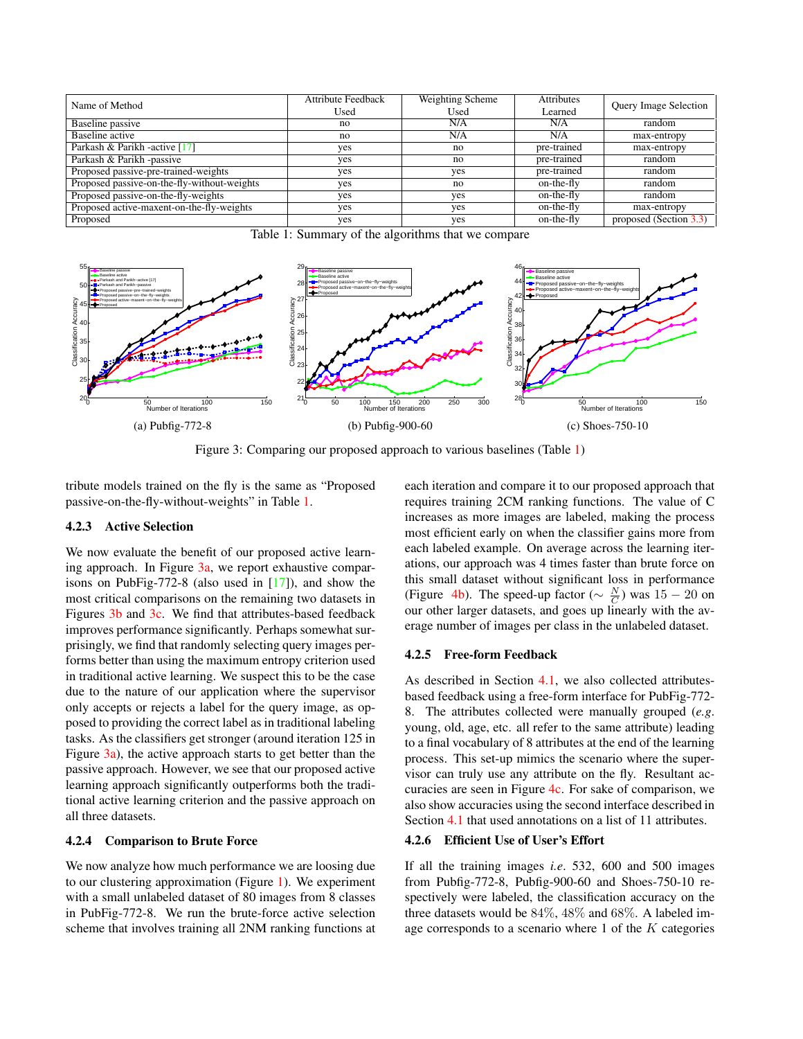<span id="page-6-0"></span>

| Name of Method                              | <b>Attribute Feedback</b> | Weighting Scheme | <b>Attributes</b> | <b>Query Image Selection</b> |
|---------------------------------------------|---------------------------|------------------|-------------------|------------------------------|
|                                             | Used                      | Used             | Learned           |                              |
| Baseline passive                            | no                        | N/A              | N/A               | random                       |
| Baseline active                             | no                        | N/A              | N/A               | max-entropy                  |
| Parkash & Parikh - active [17]              | yes                       | no               | pre-trained       | max-entropy                  |
| Parkash $& Parikh - passive$                | yes                       | no               | pre-trained       | random                       |
| Proposed passive-pre-trained-weights        | yes                       | yes              | pre-trained       | random                       |
| Proposed passive-on-the-fly-without-weights | yes                       | no               | on-the-fly        | random                       |
| Proposed passive-on-the-fly-weights         | yes                       | yes              | on-the-fly        | random                       |
| Proposed active-maxent-on-the-fly-weights   | yes                       | yes              | on-the-fly        | max-entropy                  |
| Proposed                                    | yes                       | yes              | $on$ -the-fly     | proposed (Section 3.3)       |

Table 1: Summary of the algorithms that we compare

<span id="page-6-1"></span>

Figure 3: Comparing our proposed approach to various baselines (Table [1\)](#page-6-0)

tribute models trained on the fly is the same as "Proposed passive-on-the-fly-without-weights" in Table [1.](#page-6-0)

## 4.2.3 Active Selection

We now evaluate the benefit of our proposed active learning approach. In Figure  $3a$ , we report exhaustive comparisons on PubFig-772-8 (also used in [\[17\]](#page-7-11)), and show the most critical comparisons on the remaining two datasets in Figures [3b](#page-6-1) and [3c.](#page-6-1) We find that attributes-based feedback improves performance significantly. Perhaps somewhat surprisingly, we find that randomly selecting query images performs better than using the maximum entropy criterion used in traditional active learning. We suspect this to be the case due to the nature of our application where the supervisor only accepts or rejects a label for the query image, as opposed to providing the correct label as in traditional labeling tasks. As the classifiers get stronger (around iteration 125 in Figure [3a\)](#page-6-1), the active approach starts to get better than the passive approach. However, we see that our proposed active learning approach significantly outperforms both the traditional active learning criterion and the passive approach on all three datasets.

#### 4.2.4 Comparison to Brute Force

We now analyze how much performance we are loosing due to our clustering approximation (Figure [1\)](#page-4-0). We experiment with a small unlabeled dataset of 80 images from 8 classes in PubFig-772-8. We run the brute-force active selection scheme that involves training all 2NM ranking functions at

each iteration and compare it to our proposed approach that requires training 2CM ranking functions. The value of C increases as more images are labeled, making the process most efficient early on when the classifier gains more from each labeled example. On average across the learning iterations, our approach was 4 times faster than brute force on this small dataset without significant loss in performance (Figure [4b\)](#page-7-22). The speed-up factor ( $\sim \frac{N}{C}$ ) was 15 − 20 on our other larger datasets, and goes up linearly with the average number of images per class in the unlabeled dataset.

### 4.2.5 Free-form Feedback

As described in Section [4.1,](#page-4-1) we also collected attributesbased feedback using a free-form interface for PubFig-772- 8. The attributes collected were manually grouped (*e.g*. young, old, age, etc. all refer to the same attribute) leading to a final vocabulary of 8 attributes at the end of the learning process. This set-up mimics the scenario where the supervisor can truly use any attribute on the fly. Resultant accuracies are seen in Figure [4c.](#page-7-22) For sake of comparison, we also show accuracies using the second interface described in Section [4.1](#page-4-1) that used annotations on a list of 11 attributes.

## 4.2.6 Efficient Use of User's Effort

If all the training images *i.e*. 532, 600 and 500 images from Pubfig-772-8, Pubfig-900-60 and Shoes-750-10 respectively were labeled, the classification accuracy on the three datasets would be 84%, 48% and 68%. A labeled image corresponds to a scenario where  $1$  of the  $K$  categories